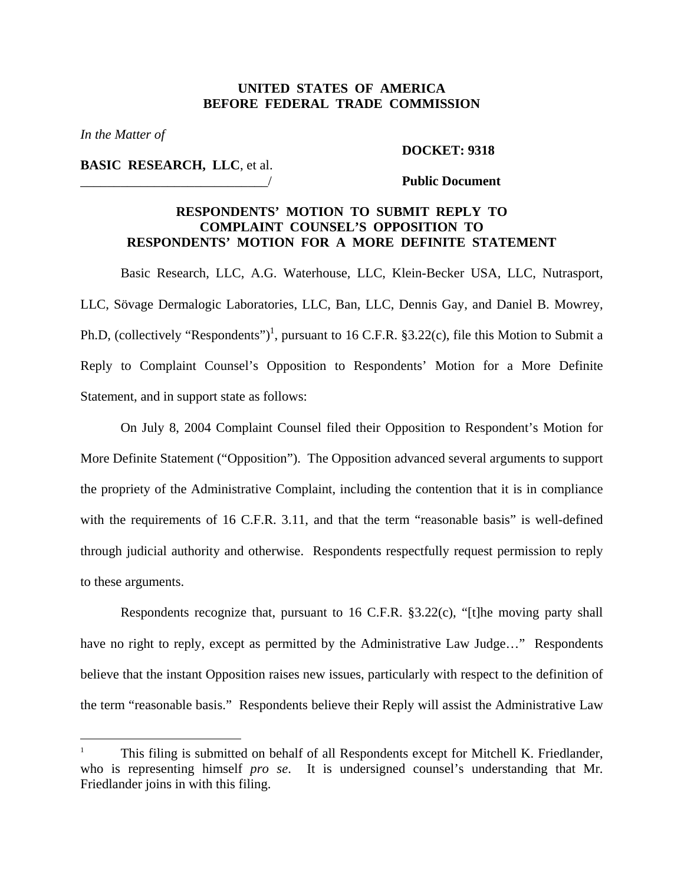### **UNITED STATES OF AMERICA BEFORE FEDERAL TRADE COMMISSION**

*In the Matter of* 

1

#### **DOCKET: 9318**

**BASIC RESEARCH, LLC**, et al.

#### \_\_\_\_\_\_\_\_\_\_\_\_\_\_\_\_\_\_\_\_\_\_\_\_\_\_\_\_/ **Public Document**

### **RESPONDENTS' MOTION TO SUBMIT REPLY TO COMPLAINT COUNSEL'S OPPOSITION TO RESPONDENTS' MOTION FOR A MORE DEFINITE STATEMENT**

Basic Research, LLC, A.G. Waterhouse, LLC, Klein-Becker USA, LLC, Nutrasport, LLC, Sövage Dermalogic Laboratories, LLC, Ban, LLC, Dennis Gay, and Daniel B. Mowrey, Ph.D, (collectively "Respondents")<sup>[1](#page-0-0)</sup>, pursuant to 16 C.F.R.  $$3.22(c)$ , file this Motion to Submit a Reply to Complaint Counsel's Opposition to Respondents' Motion for a More Definite Statement, and in support state as follows:

On July 8, 2004 Complaint Counsel filed their Opposition to Respondent's Motion for More Definite Statement ("Opposition"). The Opposition advanced several arguments to support the propriety of the Administrative Complaint, including the contention that it is in compliance with the requirements of 16 C.F.R. 3.11, and that the term "reasonable basis" is well-defined through judicial authority and otherwise. Respondents respectfully request permission to reply to these arguments.

 Respondents recognize that, pursuant to 16 C.F.R. §3.22(c), "[t]he moving party shall have no right to reply, except as permitted by the Administrative Law Judge..." Respondents believe that the instant Opposition raises new issues, particularly with respect to the definition of the term "reasonable basis." Respondents believe their Reply will assist the Administrative Law

<span id="page-0-0"></span><sup>1</sup> This filing is submitted on behalf of all Respondents except for Mitchell K. Friedlander, who is representing himself *pro se*. It is undersigned counsel's understanding that Mr. Friedlander joins in with this filing.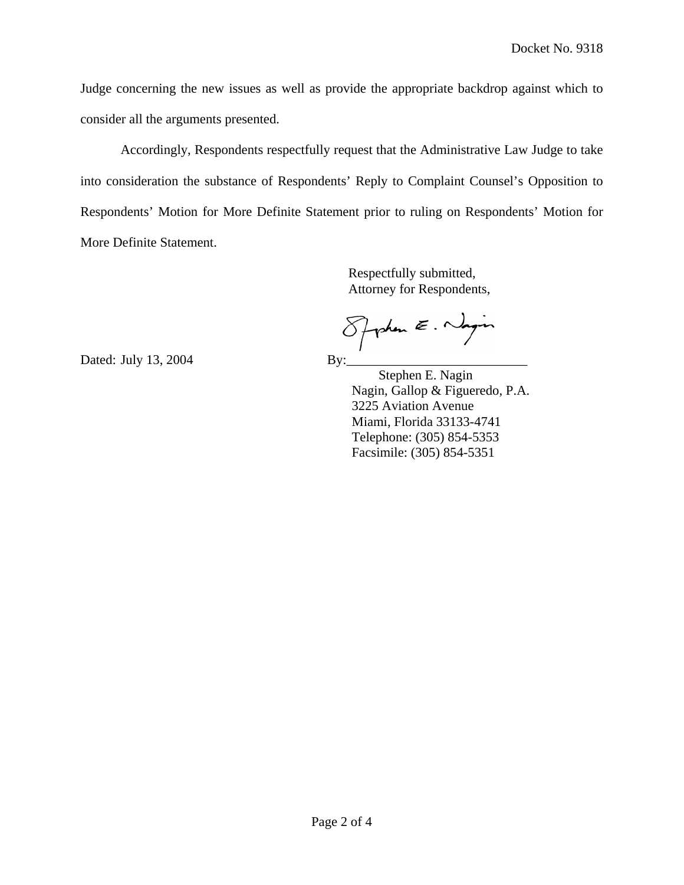Judge concerning the new issues as well as provide the appropriate backdrop against which to consider all the arguments presented.

Accordingly, Respondents respectfully request that the Administrative Law Judge to take into consideration the substance of Respondents' Reply to Complaint Counsel's Opposition to Respondents' Motion for More Definite Statement prior to ruling on Respondents' Motion for More Definite Statement.

> Respectfully submitted, Attorney for Respondents,

Spyrken E. Nagin

ated: July 13, 2004 By:\_\_\_\_\_\_\_\_\_\_\_\_\_\_\_\_\_\_\_\_\_\_\_\_\_\_\_ D

 Stephen E. Nagin Telephone: (305) 854-5353 Nagin, Gallop & Figueredo, P.A. 3225 Aviation Avenue Miami, Florida 33133-4741 Facsimile: (305) 854-5351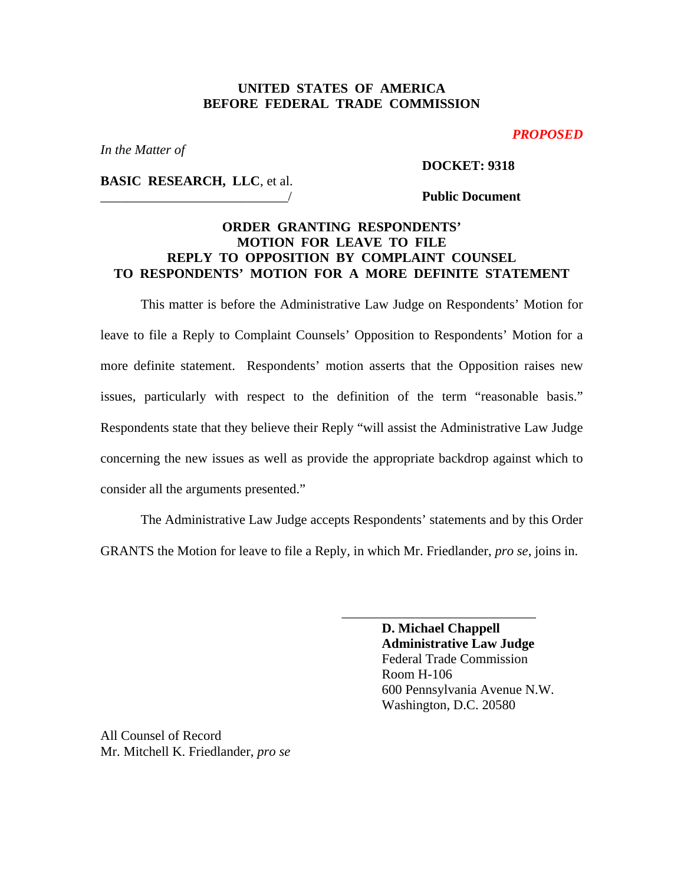# **UNITED STATES OF AMERICA BEFORE FEDERAL TRADE COMMISSION**

#### *PROPOSED*

*In the Matter of* 

#### **DOCKET: 9318**

**BASIC RESEARCH, LLC**, et al.

### \_\_\_\_\_\_\_\_\_\_\_\_\_\_\_\_\_\_\_\_\_\_\_\_\_\_\_\_/ **Public Document**

# **ORDER GRANTING RESPONDENTS' MOTION FOR LEAVE TO FILE REPLY TO OPPOSITION BY COMPLAINT COUNSEL TO RESPONDENTS' MOTION FOR A MORE DEFINITE STATEMENT**

This matter is before the Administrative Law Judge on Respondents' Motion for leave to file a Reply to Complaint Counsels' Opposition to Respondents' Motion for a more definite statement. Respondents' motion asserts that the Opposition raises new issues, particularly with respect to the definition of the term "reasonable basis." Respondents state that they believe their Reply "will assist the Administrative Law Judge concerning the new issues as well as provide the appropriate backdrop against which to consider all the arguments presented."

 The Administrative Law Judge accepts Respondents' statements and by this Order GRANTS the Motion for leave to file a Reply, in which Mr. Friedlander, *pro se*, joins in.

> **D. Michael Chappell Administrative Law Judge**  Federal Trade Commission Room H-106 600 Pennsylvania Avenue N.W. Washington, D.C. 20580

\_\_\_\_\_\_\_\_\_\_\_\_\_\_\_\_\_\_\_\_\_\_\_\_\_\_\_\_\_

All Counsel of Record Mr. Mitchell K. Friedlander, *pro se*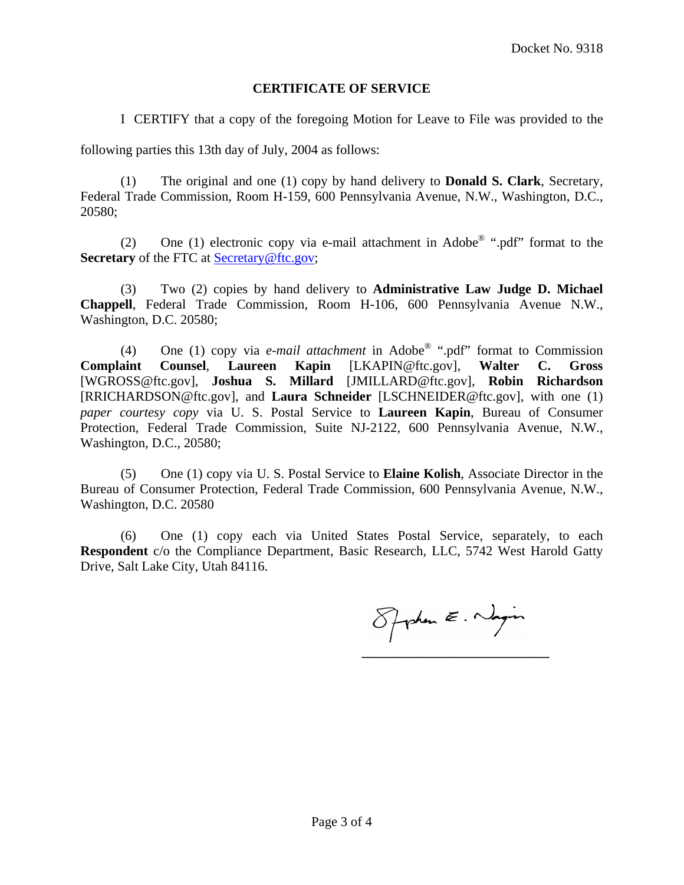### **CERTIFICATE OF SERVICE**

I CERTIFY that a copy of the foregoing Motion for Leave to File was provided to the

following parties this 13th day of July, 2004 as follows:

(1) The original and one (1) copy by hand delivery to **Donald S. Clark**, Secretary, Federal Trade Commission, Room H-159, 600 Pennsylvania Avenue, N.W., Washington, D.C., 20580;

(2) One (1) electronic copy via e-mail attachment in Adobe® ".pdf" format to the **Secretary** of the FTC at **Secretary@ftc.gov**;

(3) Two (2) copies by hand delivery to **Administrative Law Judge D. Michael Chappell**, Federal Trade Commission, Room H-106, 600 Pennsylvania Avenue N.W., Washington, D.C. 20580;

(4) One (1) copy via *e-mail attachment* in Adobe® ".pdf" format to Commission **Complaint Counsel**, **Laureen Kapin** [LKAPIN@ftc.gov], **Walter C. Gross** [WGROSS@ftc.gov], **Joshua S. Millard** [JMILLARD@ftc.gov], **Robin Richardson**  [RRICHARDSON@ftc.gov], and **Laura Schneider** [LSCHNEIDER@ftc.gov], with one (1) *paper courtesy copy* via U. S. Postal Service to **Laureen Kapin**, Bureau of Consumer Protection, Federal Trade Commission, Suite NJ-2122, 600 Pennsylvania Avenue, N.W., Washington, D.C., 20580;

(5) One (1) copy via U. S. Postal Service to **Elaine Kolish**, Associate Director in the Bureau of Consumer Protection, Federal Trade Commission, 600 Pennsylvania Avenue, N.W., Washington, D.C. 20580

(6) One (1) copy each via United States Postal Service, separately, to each **Respondent** c/o the Compliance Department, Basic Research, LLC, 5742 West Harold Gatty Drive, Salt Lake City, Utah 84116.

Spoken E. Nagin **\_\_\_\_\_\_\_\_\_\_\_\_\_\_\_\_\_\_\_\_\_\_\_\_\_\_\_\_**